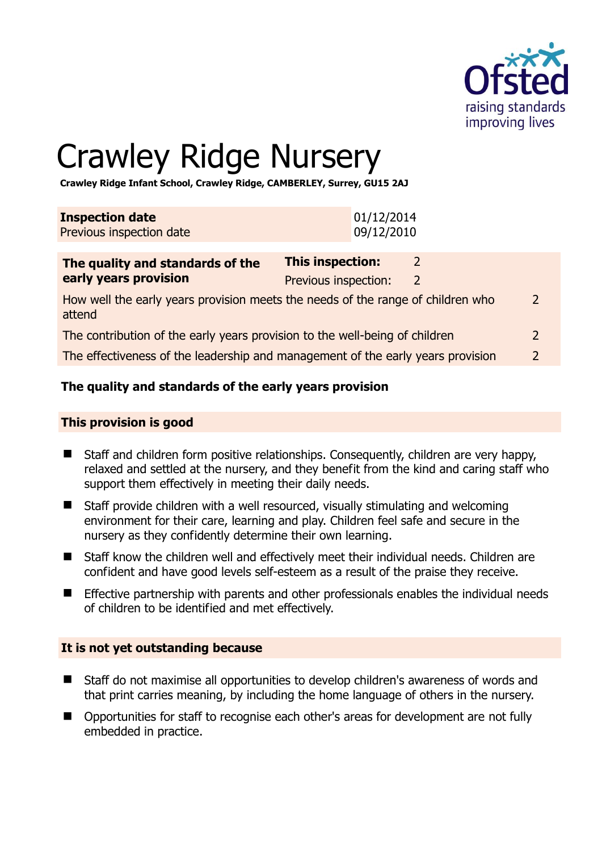

# Crawley Ridge Nursery

**Crawley Ridge Infant School, Crawley Ridge, CAMBERLEY, Surrey, GU15 2AJ** 

| <b>Inspection date</b>   | 01/12/2014 |
|--------------------------|------------|
| Previous inspection date | 09/12/2010 |

# **The quality and standards of the early years provision**

#### **This provision is good**

- Staff and children form positive relationships. Consequently, children are very happy, relaxed and settled at the nursery, and they benefit from the kind and caring staff who support them effectively in meeting their daily needs.
- Staff provide children with a well resourced, visually stimulating and welcoming environment for their care, learning and play. Children feel safe and secure in the nursery as they confidently determine their own learning.
- Staff know the children well and effectively meet their individual needs. Children are confident and have good levels self-esteem as a result of the praise they receive.
- Effective partnership with parents and other professionals enables the individual needs of children to be identified and met effectively.

# **It is not yet outstanding because**

- Staff do not maximise all opportunities to develop children's awareness of words and that print carries meaning, by including the home language of others in the nursery.
- Opportunities for staff to recognise each other's areas for development are not fully embedded in practice.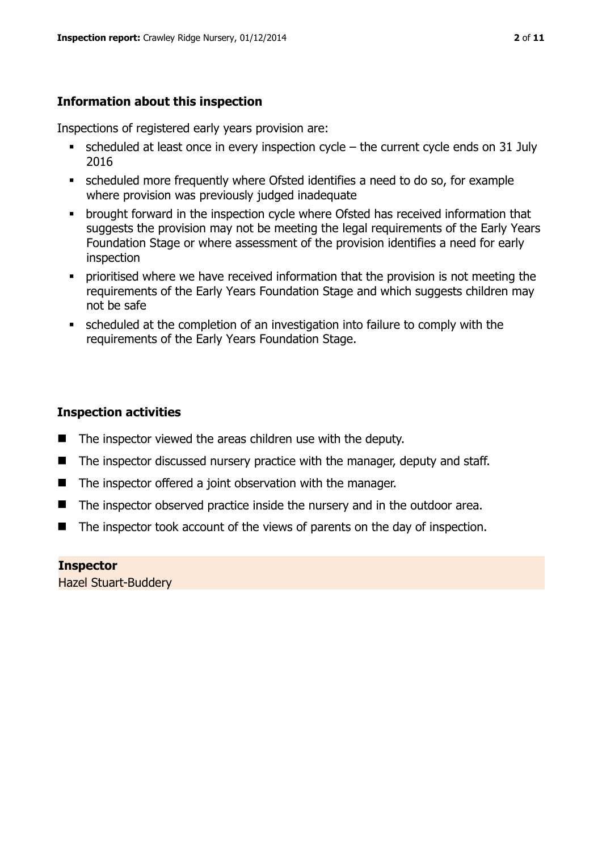# **Information about this inspection**

Inspections of registered early years provision are:

- scheduled at least once in every inspection cycle the current cycle ends on 31 July 2016
- scheduled more frequently where Ofsted identifies a need to do so, for example where provision was previously judged inadequate
- **•** brought forward in the inspection cycle where Ofsted has received information that suggests the provision may not be meeting the legal requirements of the Early Years Foundation Stage or where assessment of the provision identifies a need for early inspection
- **•** prioritised where we have received information that the provision is not meeting the requirements of the Early Years Foundation Stage and which suggests children may not be safe
- scheduled at the completion of an investigation into failure to comply with the requirements of the Early Years Foundation Stage.

# **Inspection activities**

- $\blacksquare$  The inspector viewed the areas children use with the deputy.
- $\blacksquare$  The inspector discussed nursery practice with the manager, deputy and staff.
- The inspector offered a joint observation with the manager.
- The inspector observed practice inside the nursery and in the outdoor area.
- The inspector took account of the views of parents on the day of inspection.

# **Inspector**

Hazel Stuart-Buddery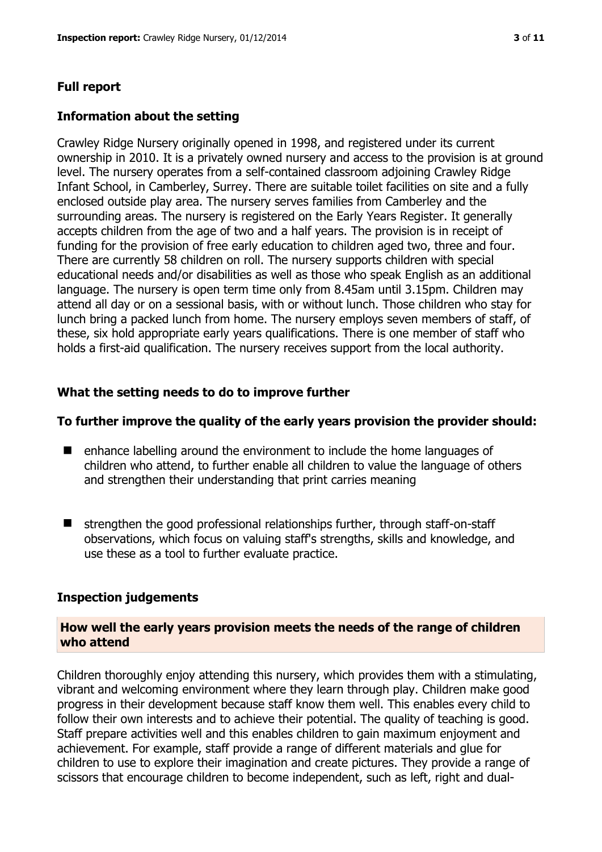#### **Full report**

#### **Information about the setting**

Crawley Ridge Nursery originally opened in 1998, and registered under its current ownership in 2010. It is a privately owned nursery and access to the provision is at ground level. The nursery operates from a self-contained classroom adjoining Crawley Ridge Infant School, in Camberley, Surrey. There are suitable toilet facilities on site and a fully enclosed outside play area. The nursery serves families from Camberley and the surrounding areas. The nursery is registered on the Early Years Register. It generally accepts children from the age of two and a half years. The provision is in receipt of funding for the provision of free early education to children aged two, three and four. There are currently 58 children on roll. The nursery supports children with special educational needs and/or disabilities as well as those who speak English as an additional language. The nursery is open term time only from 8.45am until 3.15pm. Children may attend all day or on a sessional basis, with or without lunch. Those children who stay for lunch bring a packed lunch from home. The nursery employs seven members of staff, of these, six hold appropriate early years qualifications. There is one member of staff who holds a first-aid qualification. The nursery receives support from the local authority.

#### **What the setting needs to do to improve further**

#### **To further improve the quality of the early years provision the provider should:**

- enhance labelling around the environment to include the home languages of children who attend, to further enable all children to value the language of others and strengthen their understanding that print carries meaning
- $\blacksquare$  strengthen the good professional relationships further, through staff-on-staff observations, which focus on valuing staff's strengths, skills and knowledge, and use these as a tool to further evaluate practice.

#### **Inspection judgements**

#### **How well the early years provision meets the needs of the range of children who attend**

Children thoroughly enjoy attending this nursery, which provides them with a stimulating, vibrant and welcoming environment where they learn through play. Children make good progress in their development because staff know them well. This enables every child to follow their own interests and to achieve their potential. The quality of teaching is good. Staff prepare activities well and this enables children to gain maximum enjoyment and achievement. For example, staff provide a range of different materials and glue for children to use to explore their imagination and create pictures. They provide a range of scissors that encourage children to become independent, such as left, right and dual-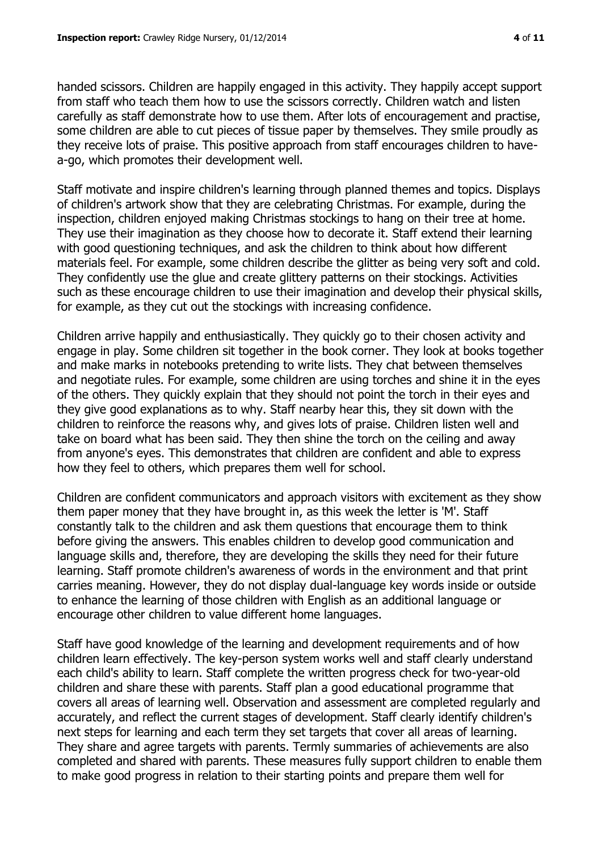handed scissors. Children are happily engaged in this activity. They happily accept support from staff who teach them how to use the scissors correctly. Children watch and listen carefully as staff demonstrate how to use them. After lots of encouragement and practise, some children are able to cut pieces of tissue paper by themselves. They smile proudly as they receive lots of praise. This positive approach from staff encourages children to havea-go, which promotes their development well.

Staff motivate and inspire children's learning through planned themes and topics. Displays of children's artwork show that they are celebrating Christmas. For example, during the inspection, children enjoyed making Christmas stockings to hang on their tree at home. They use their imagination as they choose how to decorate it. Staff extend their learning with good questioning techniques, and ask the children to think about how different materials feel. For example, some children describe the glitter as being very soft and cold. They confidently use the glue and create glittery patterns on their stockings. Activities such as these encourage children to use their imagination and develop their physical skills, for example, as they cut out the stockings with increasing confidence.

Children arrive happily and enthusiastically. They quickly go to their chosen activity and engage in play. Some children sit together in the book corner. They look at books together and make marks in notebooks pretending to write lists. They chat between themselves and negotiate rules. For example, some children are using torches and shine it in the eyes of the others. They quickly explain that they should not point the torch in their eyes and they give good explanations as to why. Staff nearby hear this, they sit down with the children to reinforce the reasons why, and gives lots of praise. Children listen well and take on board what has been said. They then shine the torch on the ceiling and away from anyone's eyes. This demonstrates that children are confident and able to express how they feel to others, which prepares them well for school.

Children are confident communicators and approach visitors with excitement as they show them paper money that they have brought in, as this week the letter is 'M'. Staff constantly talk to the children and ask them questions that encourage them to think before giving the answers. This enables children to develop good communication and language skills and, therefore, they are developing the skills they need for their future learning. Staff promote children's awareness of words in the environment and that print carries meaning. However, they do not display dual-language key words inside or outside to enhance the learning of those children with English as an additional language or encourage other children to value different home languages.

Staff have good knowledge of the learning and development requirements and of how children learn effectively. The key-person system works well and staff clearly understand each child's ability to learn. Staff complete the written progress check for two-year-old children and share these with parents. Staff plan a good educational programme that covers all areas of learning well. Observation and assessment are completed regularly and accurately, and reflect the current stages of development. Staff clearly identify children's next steps for learning and each term they set targets that cover all areas of learning. They share and agree targets with parents. Termly summaries of achievements are also completed and shared with parents. These measures fully support children to enable them to make good progress in relation to their starting points and prepare them well for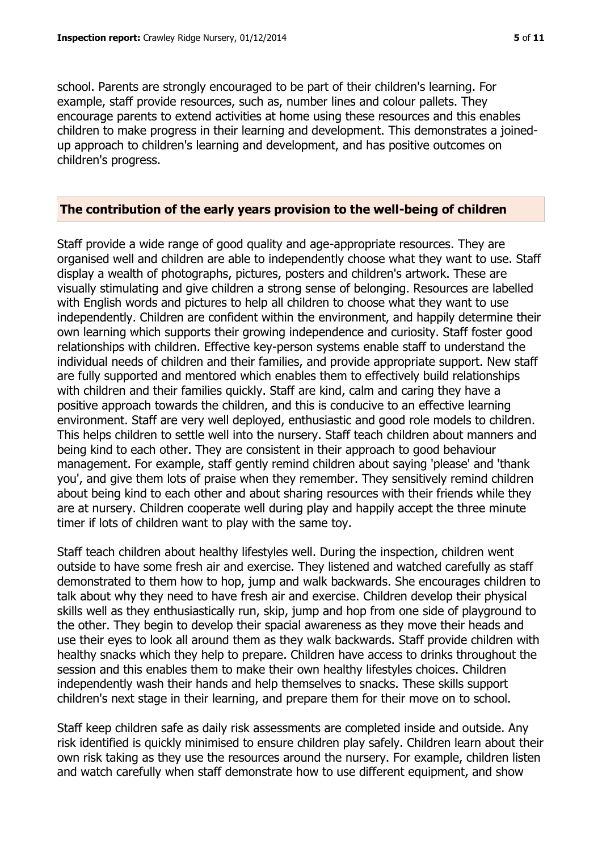school. Parents are strongly encouraged to be part of their children's learning. For example, staff provide resources, such as, number lines and colour pallets. They encourage parents to extend activities at home using these resources and this enables children to make progress in their learning and development. This demonstrates a joinedup approach to children's learning and development, and has positive outcomes on children's progress.

#### **The contribution of the early years provision to the well-being of children**

Staff provide a wide range of good quality and age-appropriate resources. They are organised well and children are able to independently choose what they want to use. Staff display a wealth of photographs, pictures, posters and children's artwork. These are visually stimulating and give children a strong sense of belonging. Resources are labelled with English words and pictures to help all children to choose what they want to use independently. Children are confident within the environment, and happily determine their own learning which supports their growing independence and curiosity. Staff foster good relationships with children. Effective key-person systems enable staff to understand the individual needs of children and their families, and provide appropriate support. New staff are fully supported and mentored which enables them to effectively build relationships with children and their families quickly. Staff are kind, calm and caring they have a positive approach towards the children, and this is conducive to an effective learning environment. Staff are very well deployed, enthusiastic and good role models to children. This helps children to settle well into the nursery. Staff teach children about manners and being kind to each other. They are consistent in their approach to good behaviour management. For example, staff gently remind children about saying 'please' and 'thank you', and give them lots of praise when they remember. They sensitively remind children about being kind to each other and about sharing resources with their friends while they are at nursery. Children cooperate well during play and happily accept the three minute timer if lots of children want to play with the same toy.

Staff teach children about healthy lifestyles well. During the inspection, children went outside to have some fresh air and exercise. They listened and watched carefully as staff demonstrated to them how to hop, jump and walk backwards. She encourages children to talk about why they need to have fresh air and exercise. Children develop their physical skills well as they enthusiastically run, skip, jump and hop from one side of playground to the other. They begin to develop their spacial awareness as they move their heads and use their eyes to look all around them as they walk backwards. Staff provide children with healthy snacks which they help to prepare. Children have access to drinks throughout the session and this enables them to make their own healthy lifestyles choices. Children independently wash their hands and help themselves to snacks. These skills support children's next stage in their learning, and prepare them for their move on to school.

Staff keep children safe as daily risk assessments are completed inside and outside. Any risk identified is quickly minimised to ensure children play safely. Children learn about their own risk taking as they use the resources around the nursery. For example, children listen and watch carefully when staff demonstrate how to use different equipment, and show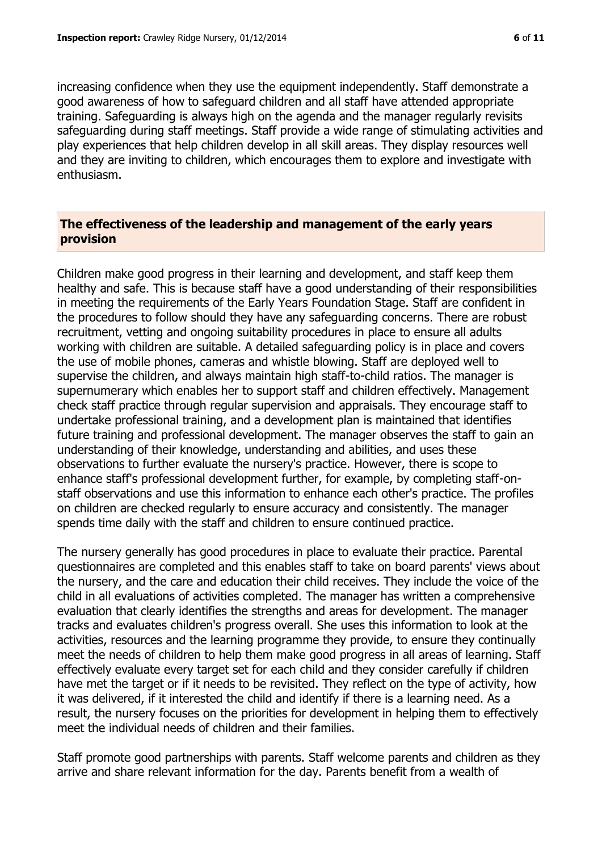increasing confidence when they use the equipment independently. Staff demonstrate a good awareness of how to safeguard children and all staff have attended appropriate training. Safeguarding is always high on the agenda and the manager regularly revisits safeguarding during staff meetings. Staff provide a wide range of stimulating activities and play experiences that help children develop in all skill areas. They display resources well and they are inviting to children, which encourages them to explore and investigate with enthusiasm.

#### **The effectiveness of the leadership and management of the early years provision**

Children make good progress in their learning and development, and staff keep them healthy and safe. This is because staff have a good understanding of their responsibilities in meeting the requirements of the Early Years Foundation Stage. Staff are confident in the procedures to follow should they have any safeguarding concerns. There are robust recruitment, vetting and ongoing suitability procedures in place to ensure all adults working with children are suitable. A detailed safeguarding policy is in place and covers the use of mobile phones, cameras and whistle blowing. Staff are deployed well to supervise the children, and always maintain high staff-to-child ratios. The manager is supernumerary which enables her to support staff and children effectively. Management check staff practice through regular supervision and appraisals. They encourage staff to undertake professional training, and a development plan is maintained that identifies future training and professional development. The manager observes the staff to gain an understanding of their knowledge, understanding and abilities, and uses these observations to further evaluate the nursery's practice. However, there is scope to enhance staff's professional development further, for example, by completing staff-onstaff observations and use this information to enhance each other's practice. The profiles on children are checked regularly to ensure accuracy and consistently. The manager spends time daily with the staff and children to ensure continued practice.

The nursery generally has good procedures in place to evaluate their practice. Parental questionnaires are completed and this enables staff to take on board parents' views about the nursery, and the care and education their child receives. They include the voice of the child in all evaluations of activities completed. The manager has written a comprehensive evaluation that clearly identifies the strengths and areas for development. The manager tracks and evaluates children's progress overall. She uses this information to look at the activities, resources and the learning programme they provide, to ensure they continually meet the needs of children to help them make good progress in all areas of learning. Staff effectively evaluate every target set for each child and they consider carefully if children have met the target or if it needs to be revisited. They reflect on the type of activity, how it was delivered, if it interested the child and identify if there is a learning need. As a result, the nursery focuses on the priorities for development in helping them to effectively meet the individual needs of children and their families.

Staff promote good partnerships with parents. Staff welcome parents and children as they arrive and share relevant information for the day. Parents benefit from a wealth of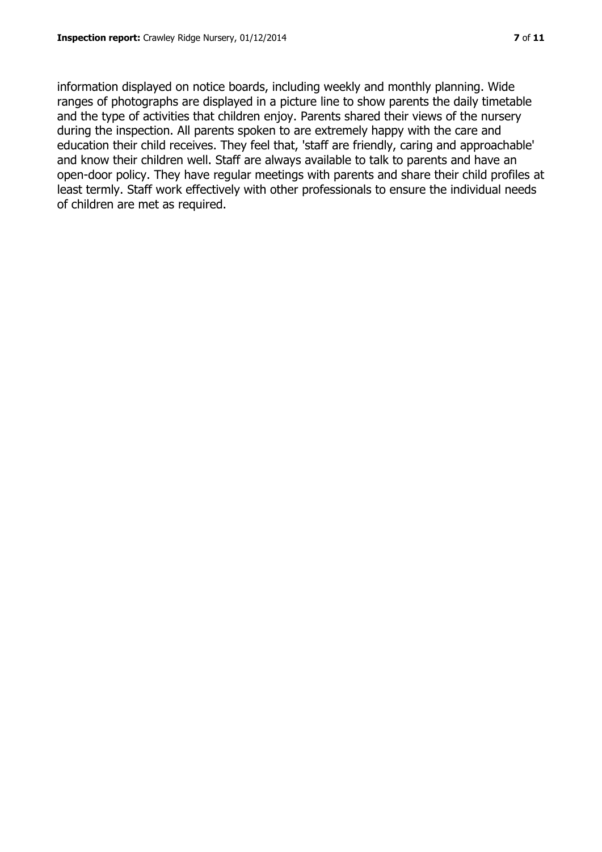information displayed on notice boards, including weekly and monthly planning. Wide ranges of photographs are displayed in a picture line to show parents the daily timetable and the type of activities that children enjoy. Parents shared their views of the nursery during the inspection. All parents spoken to are extremely happy with the care and education their child receives. They feel that, 'staff are friendly, caring and approachable' and know their children well. Staff are always available to talk to parents and have an open-door policy. They have regular meetings with parents and share their child profiles at least termly. Staff work effectively with other professionals to ensure the individual needs of children are met as required.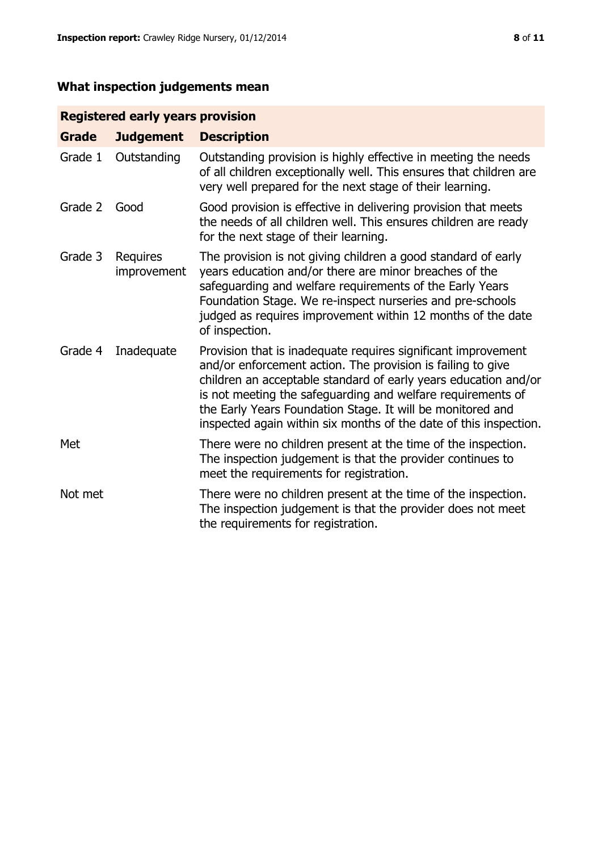# **What inspection judgements mean**

# **Registered early years provision**

| <b>Grade</b> | <b>Judgement</b>        | <b>Description</b>                                                                                                                                                                                                                                                                                                                                                                                |
|--------------|-------------------------|---------------------------------------------------------------------------------------------------------------------------------------------------------------------------------------------------------------------------------------------------------------------------------------------------------------------------------------------------------------------------------------------------|
| Grade 1      | Outstanding             | Outstanding provision is highly effective in meeting the needs<br>of all children exceptionally well. This ensures that children are<br>very well prepared for the next stage of their learning.                                                                                                                                                                                                  |
| Grade 2      | Good                    | Good provision is effective in delivering provision that meets<br>the needs of all children well. This ensures children are ready<br>for the next stage of their learning.                                                                                                                                                                                                                        |
| Grade 3      | Requires<br>improvement | The provision is not giving children a good standard of early<br>years education and/or there are minor breaches of the<br>safeguarding and welfare requirements of the Early Years<br>Foundation Stage. We re-inspect nurseries and pre-schools<br>judged as requires improvement within 12 months of the date<br>of inspection.                                                                 |
| Grade 4      | Inadequate              | Provision that is inadequate requires significant improvement<br>and/or enforcement action. The provision is failing to give<br>children an acceptable standard of early years education and/or<br>is not meeting the safeguarding and welfare requirements of<br>the Early Years Foundation Stage. It will be monitored and<br>inspected again within six months of the date of this inspection. |
| Met          |                         | There were no children present at the time of the inspection.<br>The inspection judgement is that the provider continues to<br>meet the requirements for registration.                                                                                                                                                                                                                            |
| Not met      |                         | There were no children present at the time of the inspection.<br>The inspection judgement is that the provider does not meet<br>the requirements for registration.                                                                                                                                                                                                                                |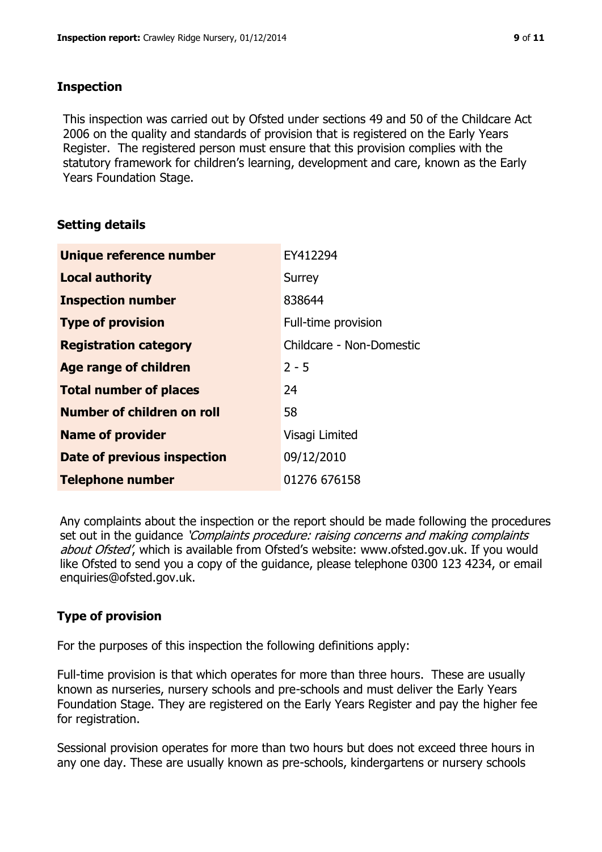### **Inspection**

This inspection was carried out by Ofsted under sections 49 and 50 of the Childcare Act 2006 on the quality and standards of provision that is registered on the Early Years Register. The registered person must ensure that this provision complies with the statutory framework for children's learning, development and care, known as the Early Years Foundation Stage.

# **Setting details**

| Unique reference number       | EY412294                 |
|-------------------------------|--------------------------|
| <b>Local authority</b>        | Surrey                   |
| <b>Inspection number</b>      | 838644                   |
| <b>Type of provision</b>      | Full-time provision      |
| <b>Registration category</b>  | Childcare - Non-Domestic |
| <b>Age range of children</b>  | $2 - 5$                  |
| <b>Total number of places</b> | 24                       |
| Number of children on roll    | 58                       |
| <b>Name of provider</b>       | Visagi Limited           |
| Date of previous inspection   | 09/12/2010               |
| <b>Telephone number</b>       | 01276 676158             |

Any complaints about the inspection or the report should be made following the procedures set out in the guidance *'Complaints procedure: raising concerns and making complaints* about Ofsted', which is available from Ofsted's website: www.ofsted.gov.uk. If you would like Ofsted to send you a copy of the guidance, please telephone 0300 123 4234, or email enquiries@ofsted.gov.uk.

# **Type of provision**

For the purposes of this inspection the following definitions apply:

Full-time provision is that which operates for more than three hours. These are usually known as nurseries, nursery schools and pre-schools and must deliver the Early Years Foundation Stage. They are registered on the Early Years Register and pay the higher fee for registration.

Sessional provision operates for more than two hours but does not exceed three hours in any one day. These are usually known as pre-schools, kindergartens or nursery schools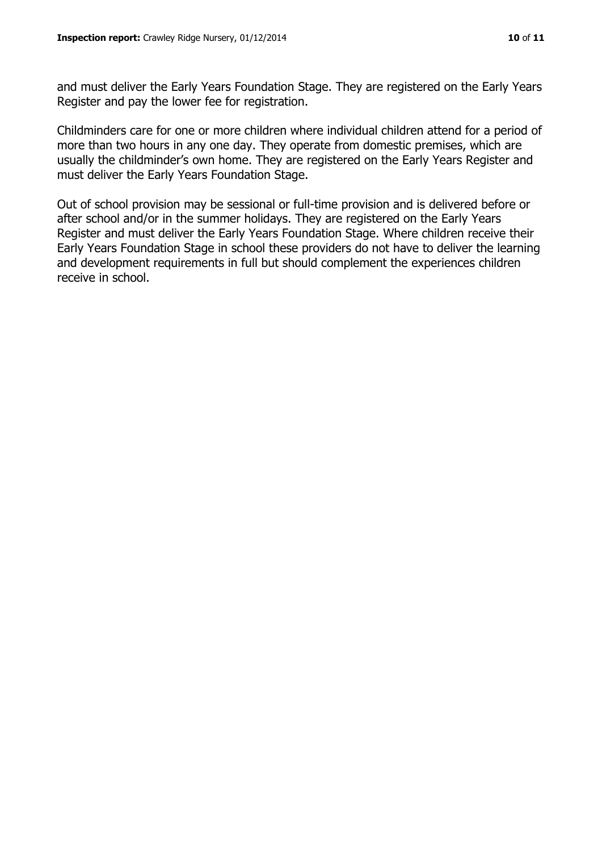and must deliver the Early Years Foundation Stage. They are registered on the Early Years Register and pay the lower fee for registration.

Childminders care for one or more children where individual children attend for a period of more than two hours in any one day. They operate from domestic premises, which are usually the childminder's own home. They are registered on the Early Years Register and must deliver the Early Years Foundation Stage.

Out of school provision may be sessional or full-time provision and is delivered before or after school and/or in the summer holidays. They are registered on the Early Years Register and must deliver the Early Years Foundation Stage. Where children receive their Early Years Foundation Stage in school these providers do not have to deliver the learning and development requirements in full but should complement the experiences children receive in school.